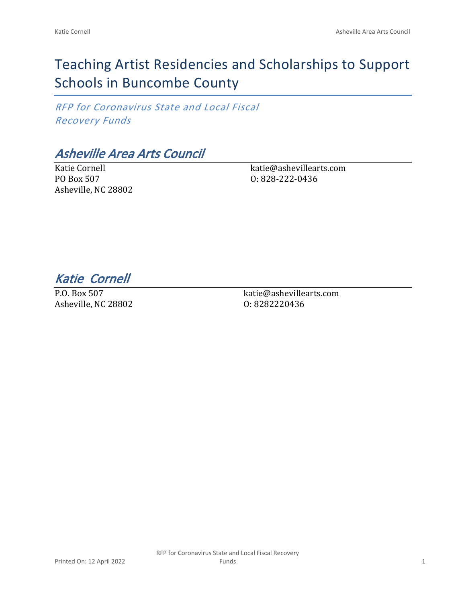# Teaching Artist Residencies and Scholarships to Support Schools in Buncombe County

*RFP for Coronavirus State and Local Fiscal Recovery Funds*

## *Asheville Area Arts Council*

Katie Cornell PO Box 507 Asheville, NC 28802 katie@ashevillearts.com O: 828-222-0436

*Katie Cornell* 

P.O. Box 507 Asheville, NC 28802 katie@ashevillearts.com O: 8282220436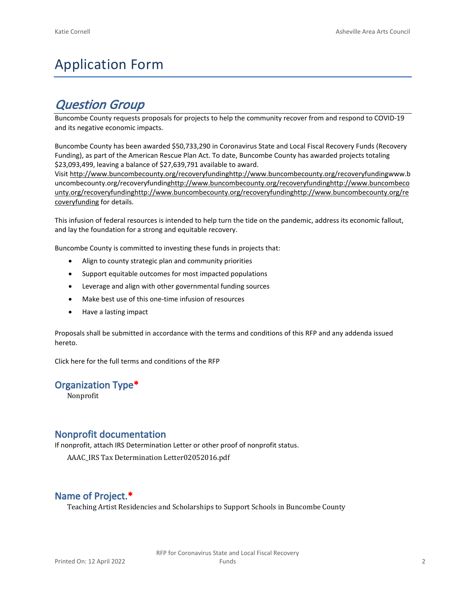# Application Form

## *Question Group*

Buncombe County requests proposals for projects to help the community recover from and respond to COVID-19 and its negative economic impacts.

Buncombe County has been awarded \$50,733,290 in Coronavirus State and Local Fiscal Recovery Funds (Recovery Funding), as part of the American Rescue Plan Act. To date, Buncombe County has awarded projects totaling \$23,093,499, leaving a balance of \$27,639,791 available to award.

Visit [http://www.buncombecounty.org/recoveryfundinghttp://www.buncombecounty.org/recoveryfundingwww.b](http://www.buncombecounty.org/recoveryfunding) [uncombecounty.org/recoveryfundinghttp://www.buncombecounty.org/recoveryfundinghttp://www.buncombeco](http://www.buncombecounty.org/recoveryfunding) [unty.org/recoveryfundinghttp://www.buncombecounty.org/recoveryfundinghttp://www.buncombecounty.org/re](http://www.buncombecounty.org/recoveryfunding) [coveryfunding](http://www.buncombecounty.org/recoveryfunding) for details.

This infusion of federal resources is intended to help turn the tide on the pandemic, address its economic fallout, and lay the foundation for a strong and equitable recovery.

Buncombe County is committed to investing these funds in projects that:

- Align to county strategic plan and community priorities
- Support equitable outcomes for most impacted populations
- Leverage and align with other governmental funding sources
- Make best use of this one-time infusion of resources
- Have a lasting impact

Proposals shall be submitted in accordance with the terms and conditions of this RFP and any addenda issued hereto.

Click [here](https://www.buncombecounty.org/common/purchasing/Buncombe%20Recovery%20Funding%20RFP%202022.pdf) for the full terms and conditions of the RFP

#### **Organization Type\***

Nonprofit

## **Nonprofit documentation**

If nonprofit, attach IRS Determination Letter or other proof of nonprofit status.

AAAC\_IRS Tax Determination Letter02052016.pdf

## **Name of Project.\***

Teaching Artist Residencies and Scholarships to Support Schools in Buncombe County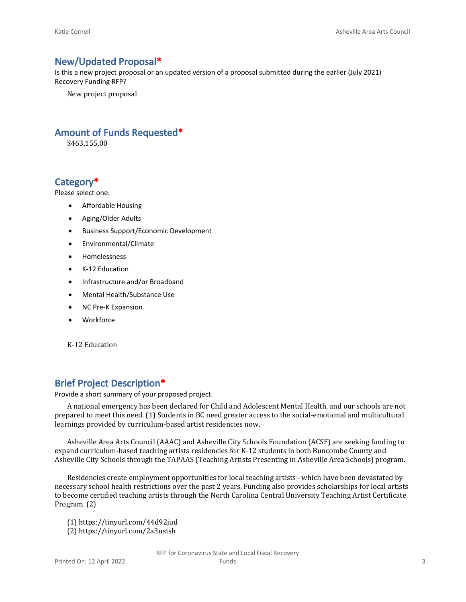#### **New/Updated Proposal\***

Is this a new project proposal or an updated version of a proposal submitted during the earlier (July 2021) Recovery Funding RFP?

New project proposal

## **Amount of Funds Requested\***

\$463,155.00

### **Category\***

Please select one:

- Affordable Housing
- Aging/Older Adults
- Business Support/Economic Development
- Environmental/Climate
- Homelessness
- K-12 Education
- Infrastructure and/or Broadband
- Mental Health/Substance Use
- NC Pre-K Expansion
- Workforce

K-12 Education

### **Brief Project Description\***

Provide a short summary of your proposed project.

A national emergency has been declared for Child and Adolescent Mental Health, and our schools are not prepared to meet this need. (1) Students in BC need greater access to the social-emotional and multicultural learnings provided by curriculum-based artist residencies now.

Asheville Area Arts Council (AAAC) and Asheville City Schools Foundation (ACSF) are seeking funding to expand curriculum-based teaching artists residencies for K-12 students in both Buncombe County and Asheville City Schools through the TAPAAS (Teaching Artists Presenting in Asheville Area Schools) program.

Residencies create employment opportunities for local teaching artists– which have been devastated by necessary school health restrictions over the past 2 years. Funding also provides scholarships for local artists to become certified teaching artists through the North Carolina Central University Teaching Artist Certificate Program. (2)

(1) https://tinyurl.com/44d92jud (2) https://tinyurl.com/2a3nstsh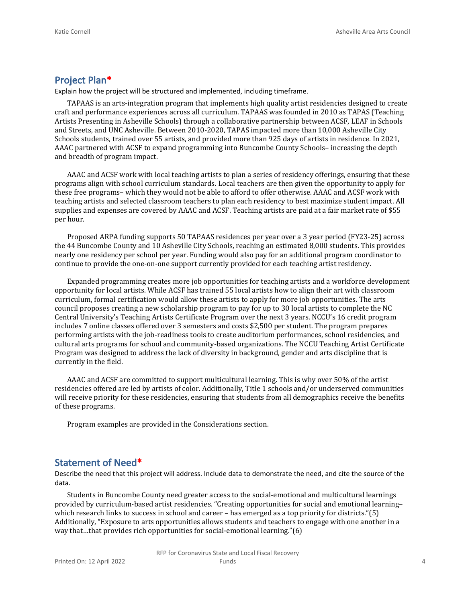## **Project Plan\***

Explain how the project will be structured and implemented, including timeframe.

TAPAAS is an arts-integration program that implements high quality artist residencies designed to create craft and performance experiences across all curriculum. TAPAAS was founded in 2010 as TAPAS (Teaching Artists Presenting in Asheville Schools) through a collaborative partnership between ACSF, LEAF in Schools and Streets, and UNC Asheville. Between 2010-2020, TAPAS impacted more than 10,000 Asheville City Schools students, trained over 55 artists, and provided more than 925 days of artists in residence. In 2021, AAAC partnered with ACSF to expand programming into Buncombe County Schools– increasing the depth and breadth of program impact.

AAAC and ACSF work with local teaching artists to plan a series of residency offerings, ensuring that these programs align with school curriculum standards. Local teachers are then given the opportunity to apply for these free programs– which they would not be able to afford to offer otherwise. AAAC and ACSF work with teaching artists and selected classroom teachers to plan each residency to best maximize student impact. All supplies and expenses are covered by AAAC and ACSF. Teaching artists are paid at a fair market rate of \$55 per hour.

Proposed ARPA funding supports 50 TAPAAS residences per year over a 3 year period (FY23-25) across the 44 Buncombe County and 10 Asheville City Schools, reaching an estimated 8,000 students. This provides nearly one residency per school per year. Funding would also pay for an additional program coordinator to continue to provide the one-on-one support currently provided for each teaching artist residency.

Expanded programming creates more job opportunities for teaching artists and a workforce development opportunity for local artists. While ACSF has trained 55 local artists how to align their art with classroom curriculum, formal certification would allow these artists to apply for more job opportunities. The arts council proposes creating a new scholarship program to pay for up to 30 local artists to complete the NC Central University's Teaching Artists Certificate Program over the next 3 years. NCCU's 16 credit program includes 7 online classes offered over 3 semesters and costs \$2,500 per student. The program prepares performing artists with the job-readiness tools to create auditorium performances, school residencies, and cultural arts programs for school and community-based organizations. The NCCU Teaching Artist Certificate Program was designed to address the lack of diversity in background, gender and arts discipline that is currently in the field.

AAAC and ACSF are committed to support multicultural learning. This is why over 50% of the artist residencies offered are led by artists of color. Additionally, Title 1 schools and/or underserved communities will receive priority for these residencies, ensuring that students from all demographics receive the benefits of these programs.

Program examples are provided in the Considerations section.

#### **Statement of Need\***

Describe the need that this project will address. Include data to demonstrate the need, and cite the source of the data.

Students in Buncombe County need greater access to the social-emotional and multicultural learnings provided by curriculum-based artist residencies. "Creating opportunities for social and emotional learning– which research links to success in school and career – has emerged as a top priority for districts."(5) Additionally, "Exposure to arts opportunities allows students and teachers to engage with one another in a way that…that provides rich opportunities for social-emotional learning."(6)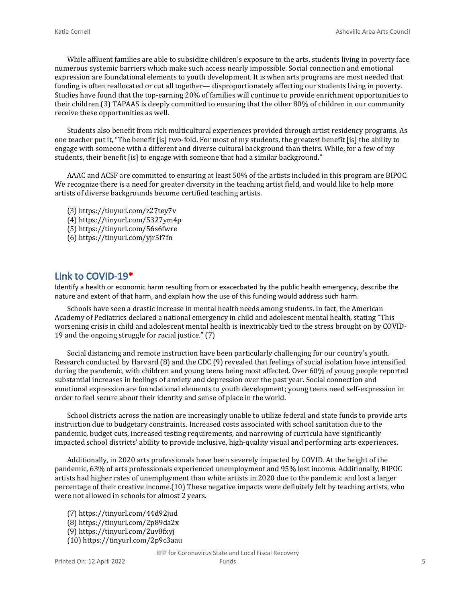While affluent families are able to subsidize children's exposure to the arts, students living in poverty face numerous systemic barriers which make such access nearly impossible. Social connection and emotional expression are foundational elements to youth development. It is when arts programs are most needed that funding is often reallocated or cut all together— disproportionately affecting our students living in poverty. Studies have found that the top-earning 20% of families will continue to provide enrichment opportunities to their children.(3) TAPAAS is deeply committed to ensuring that the other 80% of children in our community receive these opportunities as well.

Students also benefit from rich multicultural experiences provided through artist residency programs. As one teacher put it, "The benefit [is] two-fold. For most of my students, the greatest benefit [is] the ability to engage with someone with a different and diverse cultural background than theirs. While, for a few of my students, their benefit [is] to engage with someone that had a similar background."

AAAC and ACSF are committed to ensuring at least 50% of the artists included in this program are BIPOC. We recognize there is a need for greater diversity in the teaching artist field, and would like to help more artists of diverse backgrounds become certified teaching artists.

- (3) https://tinyurl.com/z27tey7v
- (4) https://tinyurl.com/5327ym4p
- (5) https://tinyurl.com/56s6fwre
- (6) https://tinyurl.com/yjr5f7fn

#### **Link to COVID-19\***

Identify a health or economic harm resulting from or exacerbated by the public health emergency, describe the nature and extent of that harm, and explain how the use of this funding would address such harm.

Schools have seen a drastic increase in mental health needs among students. In fact, the American Academy of Pediatrics declared a national emergency in child and adolescent mental health, stating "This worsening crisis in child and adolescent mental health is inextricably tied to the stress brought on by COVID-19 and the ongoing struggle for racial justice." (7)

Social distancing and remote instruction have been particularly challenging for our country's youth. Research conducted by Harvard (8) and the CDC (9) revealed that feelings of social isolation have intensified during the pandemic, with children and young teens being most affected. Over 60% of young people reported substantial increases in feelings of anxiety and depression over the past year. Social connection and emotional expression are foundational elements to youth development; young teens need self-expression in order to feel secure about their identity and sense of place in the world.

School districts across the nation are increasingly unable to utilize federal and state funds to provide arts instruction due to budgetary constraints. Increased costs associated with school sanitation due to the pandemic, budget cuts, increased testing requirements, and narrowing of curricula have significantly impacted school districts' ability to provide inclusive, high-quality visual and performing arts experiences.

Additionally, in 2020 arts professionals have been severely impacted by COVID. At the height of the pandemic, 63% of arts professionals experienced unemployment and 95% lost income. Additionally, BIPOC artists had higher rates of unemployment than white artists in 2020 due to the pandemic and lost a larger percentage of their creative income.(10) These negative impacts were definitely felt by teaching artists, who were not allowed in schools for almost 2 years.

(7) https://tinyurl.com/44d92jud (8) https://tinyurl.com/2p89da2x (9) https://tinyurl.com/2uv8fxyj (10) https://tinyurl.com/2p9c3aau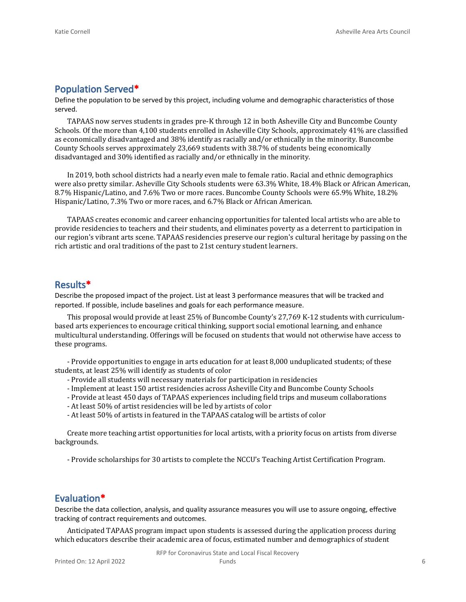## **Population Served\***

Define the population to be served by this project, including volume and demographic characteristics of those served.

TAPAAS now serves students in grades pre-K through 12 in both Asheville City and Buncombe County Schools. Of the more than 4,100 students enrolled in Asheville City Schools, approximately 41% are classified as economically disadvantaged and 38% identify as racially and/or ethnically in the minority. Buncombe County Schools serves approximately 23,669 students with 38.7% of students being economically disadvantaged and 30% identified as racially and/or ethnically in the minority.

In 2019, both school districts had a nearly even male to female ratio. Racial and ethnic demographics were also pretty similar. Asheville City Schools students were 63.3% White, 18.4% Black or African American, 8.7% Hispanic/Latino, and 7.6% Two or more races. Buncombe County Schools were 65.9% White, 18.2% Hispanic/Latino, 7.3% Two or more races, and 6.7% Black or African American.

TAPAAS creates economic and career enhancing opportunities for talented local artists who are able to provide residencies to teachers and their students, and eliminates poverty as a deterrent to participation in our region's vibrant arts scene. TAPAAS residencies preserve our region's cultural heritage by passing on the rich artistic and oral traditions of the past to 21st century student learners.

## **Results\***

Describe the proposed impact of the project. List at least 3 performance measures that will be tracked and reported. If possible, include baselines and goals for each performance measure.

This proposal would provide at least 25% of Buncombe County's 27,769 K-12 students with curriculumbased arts experiences to encourage critical thinking, support social emotional learning, and enhance multicultural understanding. Offerings will be focused on students that would not otherwise have access to these programs.

- Provide opportunities to engage in arts education for at least 8,000 unduplicated students; of these students, at least 25% will identify as students of color

- Provide all students will necessary materials for participation in residencies
- Implement at least 150 artist residencies across Asheville City and Buncombe County Schools
- Provide at least 450 days of TAPAAS experiences including field trips and museum collaborations
- At least 50% of artist residencies will be led by artists of color
- At least 50% of artists in featured in the TAPAAS catalog will be artists of color

Create more teaching artist opportunities for local artists, with a priority focus on artists from diverse backgrounds.

- Provide scholarships for 30 artists to complete the NCCU's Teaching Artist Certification Program.

## **Evaluation\***

Describe the data collection, analysis, and quality assurance measures you will use to assure ongoing, effective tracking of contract requirements and outcomes.

Anticipated TAPAAS program impact upon students is assessed during the application process during which educators describe their academic area of focus, estimated number and demographics of student

RFP for Coronavirus State and Local Fiscal Recovery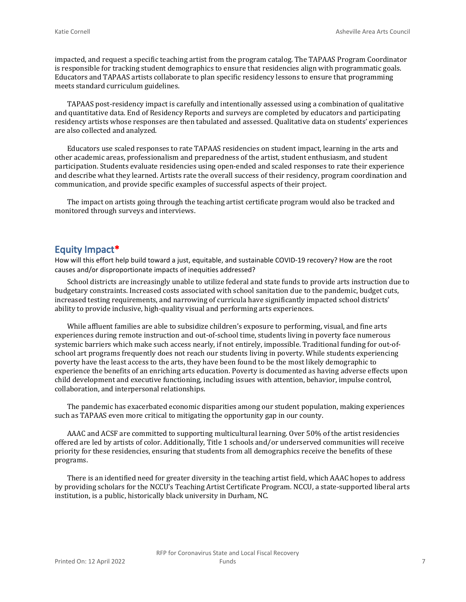impacted, and request a specific teaching artist from the program catalog. The TAPAAS Program Coordinator is responsible for tracking student demographics to ensure that residencies align with programmatic goals. Educators and TAPAAS artists collaborate to plan specific residency lessons to ensure that programming meets standard curriculum guidelines.

TAPAAS post-residency impact is carefully and intentionally assessed using a combination of qualitative and quantitative data. End of Residency Reports and surveys are completed by educators and participating residency artists whose responses are then tabulated and assessed. Qualitative data on students' experiences are also collected and analyzed.

Educators use scaled responses to rate TAPAAS residencies on student impact, learning in the arts and other academic areas, professionalism and preparedness of the artist, student enthusiasm, and student participation. Students evaluate residencies using open-ended and scaled responses to rate their experience and describe what they learned. Artists rate the overall success of their residency, program coordination and communication, and provide specific examples of successful aspects of their project.

The impact on artists going through the teaching artist certificate program would also be tracked and monitored through surveys and interviews.

#### **Equity Impact\***

How will this effort help build toward a just, equitable, and sustainable COVID-19 recovery? How are the root causes and/or disproportionate impacts of inequities addressed?

School districts are increasingly unable to utilize federal and state funds to provide arts instruction due to budgetary constraints. Increased costs associated with school sanitation due to the pandemic, budget cuts, increased testing requirements, and narrowing of curricula have significantly impacted school districts' ability to provide inclusive, high-quality visual and performing arts experiences.

While affluent families are able to subsidize children's exposure to performing, visual, and fine arts experiences during remote instruction and out-of-school time, students living in poverty face numerous systemic barriers which make such access nearly, if not entirely, impossible. Traditional funding for out-ofschool art programs frequently does not reach our students living in poverty. While students experiencing poverty have the least access to the arts, they have been found to be the most likely demographic to experience the benefits of an enriching arts education. Poverty is documented as having adverse effects upon child development and executive functioning, including issues with attention, behavior, impulse control, collaboration, and interpersonal relationships.

The pandemic has exacerbated economic disparities among our student population, making experiences such as TAPAAS even more critical to mitigating the opportunity gap in our county.

AAAC and ACSF are committed to supporting multicultural learning. Over 50% of the artist residencies offered are led by artists of color. Additionally, Title 1 schools and/or underserved communities will receive priority for these residencies, ensuring that students from all demographics receive the benefits of these programs.

There is an identified need for greater diversity in the teaching artist field, which AAAC hopes to address by providing scholars for the NCCU's Teaching Artist Certificate Program. NCCU, a state-supported liberal arts institution, is a public, historically black university in Durham, NC.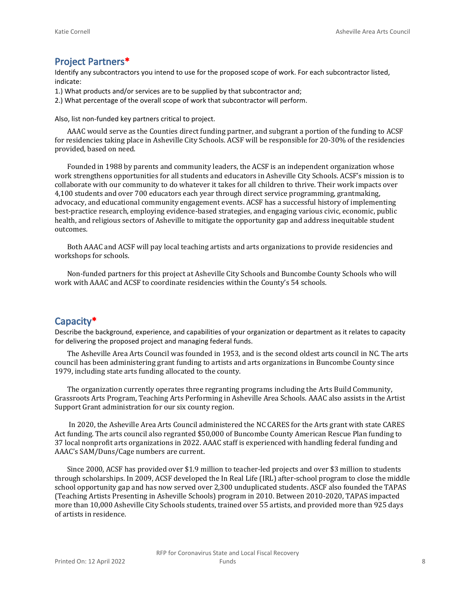### **Project Partners\***

Identify any subcontractors you intend to use for the proposed scope of work. For each subcontractor listed, indicate:

- 1.) What products and/or services are to be supplied by that subcontractor and;
- 2.) What percentage of the overall scope of work that subcontractor will perform.

Also, list non-funded key partners critical to project.

AAAC would serve as the Counties direct funding partner, and subgrant a portion of the funding to ACSF for residencies taking place in Asheville City Schools. ACSF will be responsible for 20-30% of the residencies provided, based on need.

Founded in 1988 by parents and community leaders, the ACSF is an independent organization whose work strengthens opportunities for all students and educators in Asheville City Schools. ACSF's mission is to collaborate with our community to do whatever it takes for all children to thrive. Their work impacts over 4,100 students and over 700 educators each year through direct service programming, grantmaking, advocacy, and educational community engagement events. ACSF has a successful history of implementing best-practice research, employing evidence-based strategies, and engaging various civic, economic, public health, and religious sectors of Asheville to mitigate the opportunity gap and address inequitable student outcomes.

Both AAAC and ACSF will pay local teaching artists and arts organizations to provide residencies and workshops for schools.

Non-funded partners for this project at Asheville City Schools and Buncombe County Schools who will work with AAAC and ACSF to coordinate residencies within the County's 54 schools.

#### **Capacity\***

Describe the background, experience, and capabilities of your organization or department as it relates to capacity for delivering the proposed project and managing federal funds.

The Asheville Area Arts Council was founded in 1953, and is the second oldest arts council in NC. The arts council has been administering grant funding to artists and arts organizations in Buncombe County since 1979, including state arts funding allocated to the county.

The organization currently operates three regranting programs including the Arts Build Community, Grassroots Arts Program, Teaching Arts Performing in Asheville Area Schools. AAAC also assists in the Artist Support Grant administration for our six county region.

 In 2020, the Asheville Area Arts Council administered the NC CARES for the Arts grant with state CARES Act funding. The arts council also regranted \$50,000 of Buncombe County American Rescue Plan funding to 37 local nonprofit arts organizations in 2022. AAAC staff is experienced with handling federal funding and AAAC's SAM/Duns/Cage numbers are current.

Since 2000, ACSF has provided over \$1.9 million to teacher-led projects and over \$3 million to students through scholarships. In 2009, ACSF developed the In Real Life (IRL) after-school program to close the middle school opportunity gap and has now served over 2,300 unduplicated students. ASCF also founded the TAPAS (Teaching Artists Presenting in Asheville Schools) program in 2010. Between 2010-2020, TAPAS impacted more than 10,000 Asheville City Schools students, trained over 55 artists, and provided more than 925 days of artists in residence.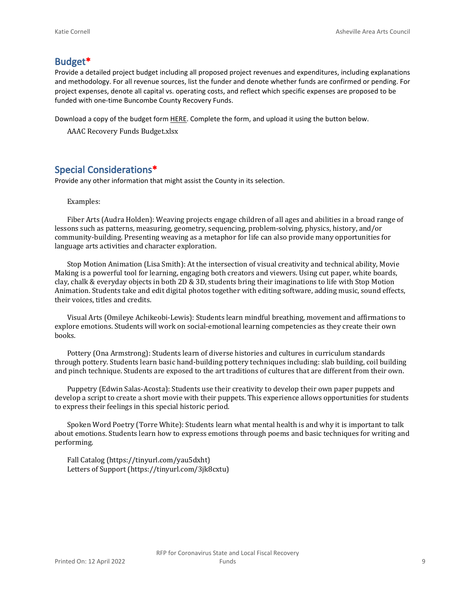#### **Budget\***

Provide a detailed project budget including all proposed project revenues and expenditures, including explanations and methodology. For all revenue sources, list the funder and denote whether funds are confirmed or pending. For project expenses, denote all capital vs. operating costs, and reflect which specific expenses are proposed to be funded with one-time Buncombe County Recovery Funds.

Download a copy of the budget form [HERE](https://buncombecounty.org/common/community-investment/grants/early-childhood-education/Recovery-Funds-budget-template.xlsx). Complete the form, and upload it using the button below.

AAAC Recovery Funds Budget.xlsx

## **Special Considerations\***

Provide any other information that might assist the County in its selection.

#### Examples:

Fiber Arts (Audra Holden): Weaving projects engage children of all ages and abilities in a broad range of lessons such as patterns, measuring, geometry, sequencing, problem-solving, physics, history, and/or community-building. Presenting weaving as a metaphor for life can also provide many opportunities for language arts activities and character exploration.

Stop Motion Animation (Lisa Smith): At the intersection of visual creativity and technical ability, Movie Making is a powerful tool for learning, engaging both creators and viewers. Using cut paper, white boards, clay, chalk & everyday objects in both 2D & 3D, students bring their imaginations to life with Stop Motion Animation. Students take and edit digital photos together with editing software, adding music, sound effects, their voices, titles and credits.

Visual Arts (Omileye Achikeobi-Lewis): Students learn mindful breathing, movement and affirmations to explore emotions. Students will work on social-emotional learning competencies as they create their own books.

Pottery (Ona Armstrong): Students learn of diverse histories and cultures in curriculum standards through pottery. Students learn basic hand-building pottery techniques including: slab building, coil building and pinch technique. Students are exposed to the art traditions of cultures that are different from their own.

Puppetry (Edwin Salas-Acosta): Students use their creativity to develop their own paper puppets and develop a script to create a short movie with their puppets. This experience allows opportunities for students to express their feelings in this special historic period.

Spoken Word Poetry (Torre White): Students learn what mental health is and why it is important to talk about emotions. Students learn how to express emotions through poems and basic techniques for writing and performing.

Fall Catalog (https://tinyurl.com/yau5dxht) Letters of Support (https://tinyurl.com/3jk8cxtu)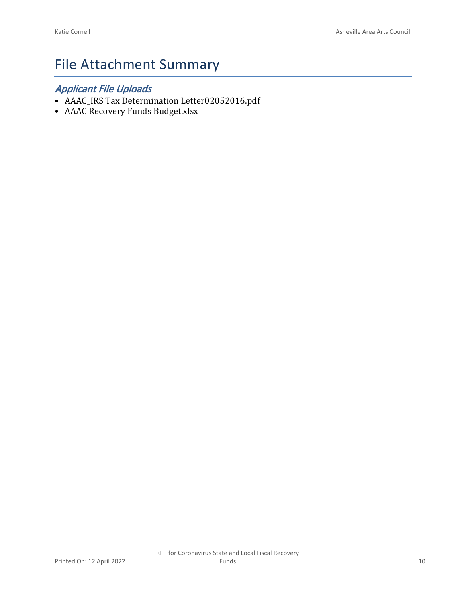# File Attachment Summary

## *Applicant File Uploads*

- AAAC\_IRS Tax Determination Letter02052016.pdf
- AAAC Recovery Funds Budget.xlsx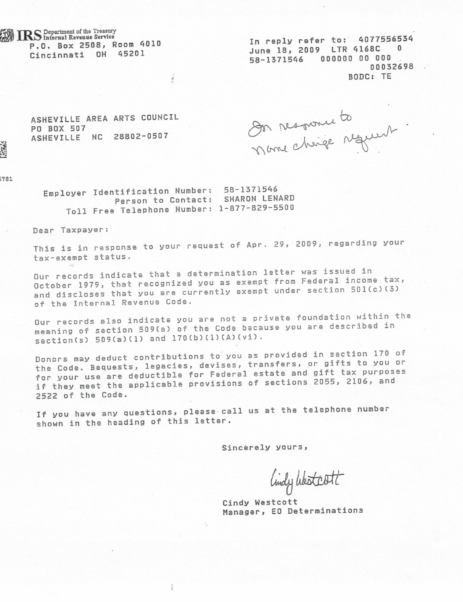IRS Department of the Treasury P.O. Box 2508, Room 4010 Cincinnati OH 45201

In reply refer to: 4077556534 June 18, 2009 LTR 4168C 0 58-1371546 000000 00 000 00032698 BODC: TE

ASHEVILLE AREA ARTS COUNCIL PO BOX 507 ASHEVILLE NC 28802-0507

On response to

781

Employer Identification Number: 58-1371546 Person to Contact: SHARON LENARD Toll Free Telephone Number: 1-877-829-5500

Dear Taxpayer:

This is in response to your request of Apr. 29, 2009, regarding your tax-exempt status.

Our records indicate that a determination letter was issued in October 1979, that recognized you as exempt from Federal income tax, and discloses that you are currently exempt under section 501(c)(3) of the Internal Revenue Code.

Our records also indicate you are not a private foundation within the meaning of section 509(a) of the Code because you are described in section(s) 509(a)(1) and 170(b)(1)(A)(vi).

Donors may deduct contributions to you as provided in section 170 of the Code. Bequests, legacies, devises, transfers, or gifts to you or for your use are deductible for Federal estate and gift tax purposes if they meet the applicable provisions of sections 2055, 2106, and 2522 of the Code.

If you have any questions, please call us at the telephone number shown in the heading of this letter.

Sincerely yours,

lindy Westcott

Cindy Westcott Manager, EO Determinations